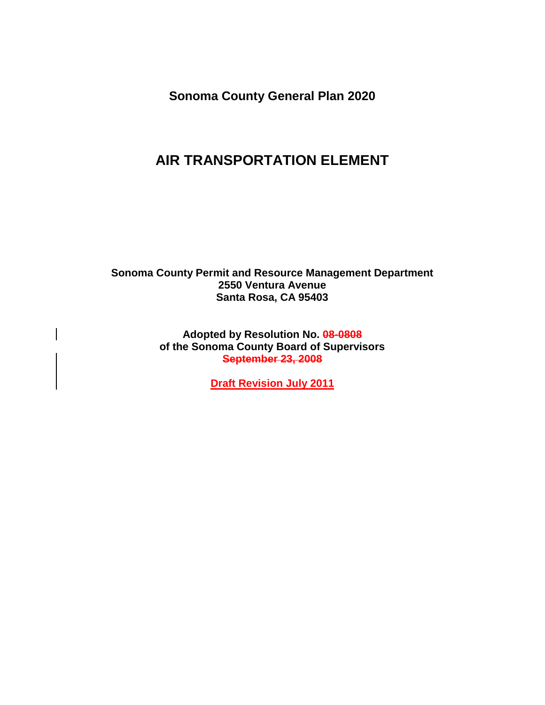**Sonoma County General Plan 2020** 

# **AIR TRANSPORTATION ELEMENT**

**Sonoma County Permit and Resource Management Department 2550 Ventura Avenue Santa Rosa, CA 95403**

> **Adopted by Resolution No. 08-0808 of the Sonoma County Board of Supervisors September 23, 2008**

> > **Draft Revision July 2011**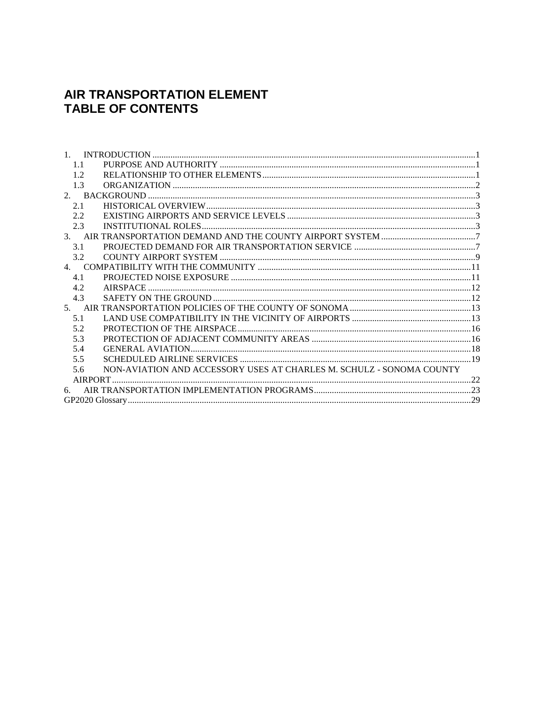### AIR TRANSPORTATION ELEMENT **TABLE OF CONTENTS**

| 1.                                                                          |  |
|-----------------------------------------------------------------------------|--|
| 1.1                                                                         |  |
| 12                                                                          |  |
| 1.3                                                                         |  |
|                                                                             |  |
| 2.1                                                                         |  |
| 2.2.                                                                        |  |
| 2.3                                                                         |  |
|                                                                             |  |
| 3.1                                                                         |  |
| 3.2                                                                         |  |
|                                                                             |  |
| 4.1                                                                         |  |
| 4.2.                                                                        |  |
| 4.3                                                                         |  |
|                                                                             |  |
| 5.1                                                                         |  |
| 5.2                                                                         |  |
| 5.3                                                                         |  |
| 5.4                                                                         |  |
| 5.5                                                                         |  |
| NON-AVIATION AND ACCESSORY USES AT CHARLES M. SCHULZ - SONOMA COUNTY<br>5.6 |  |
|                                                                             |  |
| 6.                                                                          |  |
|                                                                             |  |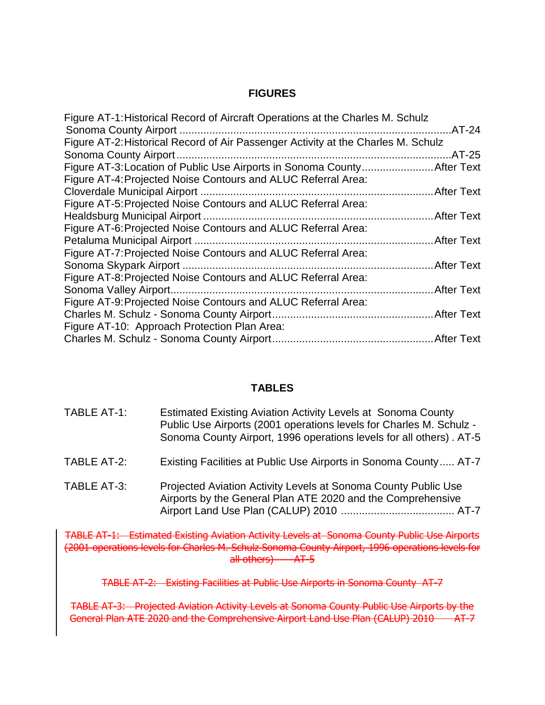#### **FIGURES**

| Figure AT-1: Historical Record of Aircraft Operations at the Charles M. Schulz    |             |
|-----------------------------------------------------------------------------------|-------------|
|                                                                                   |             |
| Figure AT-2: Historical Record of Air Passenger Activity at the Charles M. Schulz |             |
|                                                                                   |             |
|                                                                                   |             |
| Figure AT-4: Projected Noise Contours and ALUC Referral Area:                     |             |
|                                                                                   |             |
| Figure AT-5: Projected Noise Contours and ALUC Referral Area:                     |             |
|                                                                                   |             |
| Figure AT-6: Projected Noise Contours and ALUC Referral Area:                     |             |
|                                                                                   |             |
| Figure AT-7: Projected Noise Contours and ALUC Referral Area:                     |             |
|                                                                                   |             |
| Figure AT-8: Projected Noise Contours and ALUC Referral Area:                     |             |
|                                                                                   | .After Text |
| Figure AT-9: Projected Noise Contours and ALUC Referral Area:                     |             |
|                                                                                   |             |
| Figure AT-10: Approach Protection Plan Area:                                      |             |
|                                                                                   |             |
|                                                                                   |             |

#### **TABLES**

| TABLE AT-1: | Estimated Existing Aviation Activity Levels at Sonoma County<br>Public Use Airports (2001 operations levels for Charles M. Schulz -<br>Sonoma County Airport, 1996 operations levels for all others). AT-5 |
|-------------|------------------------------------------------------------------------------------------------------------------------------------------------------------------------------------------------------------|
| TABLE AT-2: | Existing Facilities at Public Use Airports in Sonoma County AT-7                                                                                                                                           |
| TABLE AT-3: | Projected Aviation Activity Levels at Sonoma County Public Use<br>Airports by the General Plan ATE 2020 and the Comprehensive                                                                              |

TABLE AT-1: Estimated Existing Aviation Activity Levels at Sonoma County Public Use Airports (2001 operations levels for Charles M. Schulz Sonoma County Airport, 1996 operations levels for all others) AT-5

TABLE AT-2: Existing Facilities at Public Use Airports in Sonoma County AT-7

TABLE AT-3: Projected Aviation Activity Levels at Sonoma County Public Use Airports by the General Plan ATE 2020 and the Comprehensive Airport Land Use Plan (CALUP) 2010 AT-7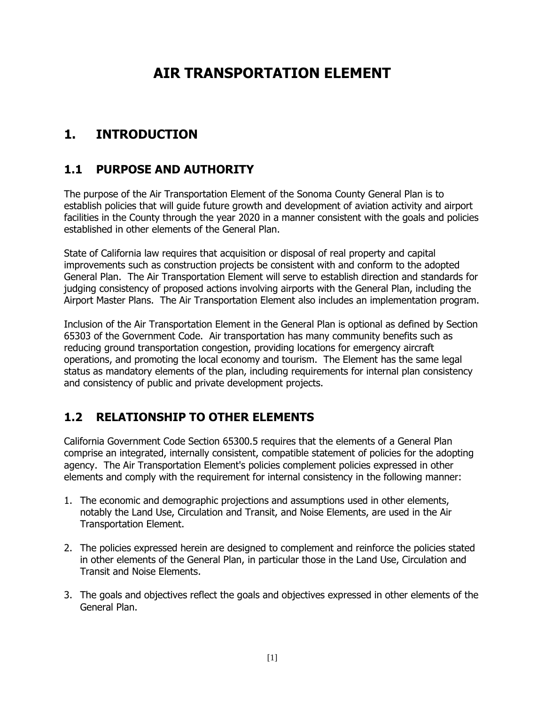# **AIR TRANSPORTATION ELEMENT**

# <span id="page-4-0"></span>**1. INTRODUCTION**

### <span id="page-4-1"></span>**1.1 PURPOSE AND AUTHORITY**

The purpose of the Air Transportation Element of the Sonoma County General Plan is to establish policies that will guide future growth and development of aviation activity and airport facilities in the County through the year 2020 in a manner consistent with the goals and policies established in other elements of the General Plan.

State of California law requires that acquisition or disposal of real property and capital improvements such as construction projects be consistent with and conform to the adopted General Plan. The Air Transportation Element will serve to establish direction and standards for judging consistency of proposed actions involving airports with the General Plan, including the Airport Master Plans. The Air Transportation Element also includes an implementation program.

Inclusion of the Air Transportation Element in the General Plan is optional as defined by Section 65303 of the Government Code. Air transportation has many community benefits such as reducing ground transportation congestion, providing locations for emergency aircraft operations, and promoting the local economy and tourism. The Element has the same legal status as mandatory elements of the plan, including requirements for internal plan consistency and consistency of public and private development projects.

### <span id="page-4-2"></span>**1.2 RELATIONSHIP TO OTHER ELEMENTS**

California Government Code Section 65300.5 requires that the elements of a General Plan comprise an integrated, internally consistent, compatible statement of policies for the adopting agency. The Air Transportation Element's policies complement policies expressed in other elements and comply with the requirement for internal consistency in the following manner:

- 1. The economic and demographic projections and assumptions used in other elements, notably the Land Use, Circulation and Transit, and Noise Elements, are used in the Air Transportation Element.
- 2. The policies expressed herein are designed to complement and reinforce the policies stated in other elements of the General Plan, in particular those in the Land Use, Circulation and Transit and Noise Elements.
- 3. The goals and objectives reflect the goals and objectives expressed in other elements of the General Plan.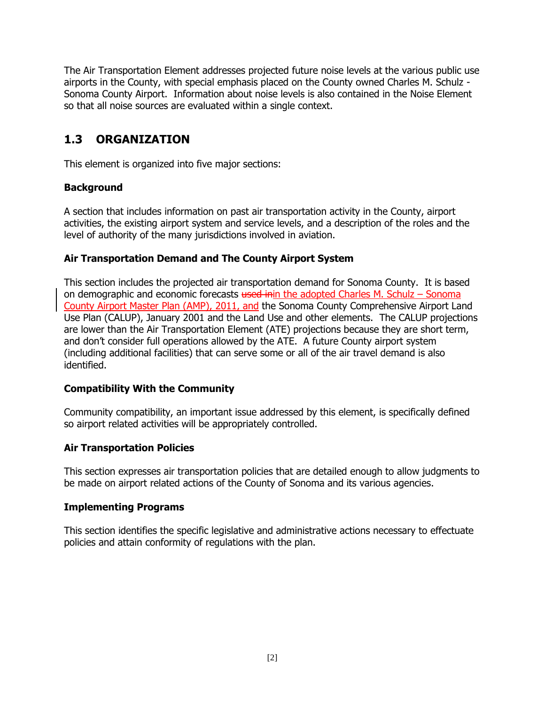The Air Transportation Element addresses projected future noise levels at the various public use airports in the County, with special emphasis placed on the County owned Charles M. Schulz - Sonoma County Airport. Information about noise levels is also contained in the Noise Element so that all noise sources are evaluated within a single context.

### <span id="page-5-0"></span>**1.3 ORGANIZATION**

This element is organized into five major sections:

#### **Background**

A section that includes information on past air transportation activity in the County, airport activities, the existing airport system and service levels, and a description of the roles and the level of authority of the many jurisdictions involved in aviation.

#### **Air Transportation Demand and The County Airport System**

This section includes the projected air transportation demand for Sonoma County. It is based on demographic and economic forecasts  $t$  used inin the adopted Charles M. Schulz – Sonoma County Airport Master Plan (AMP), 2011, and the Sonoma County Comprehensive Airport Land Use Plan (CALUP), January 2001 and the Land Use and other elements. The CALUP projections are lower than the Air Transportation Element (ATE) projections because they are short term, and don't consider full operations allowed by the ATE. A future County airport system (including additional facilities) that can serve some or all of the air travel demand is also identified.

#### **Compatibility With the Community**

Community compatibility, an important issue addressed by this element, is specifically defined so airport related activities will be appropriately controlled.

#### **Air Transportation Policies**

This section expresses air transportation policies that are detailed enough to allow judgments to be made on airport related actions of the County of Sonoma and its various agencies.

#### **Implementing Programs**

This section identifies the specific legislative and administrative actions necessary to effectuate policies and attain conformity of regulations with the plan.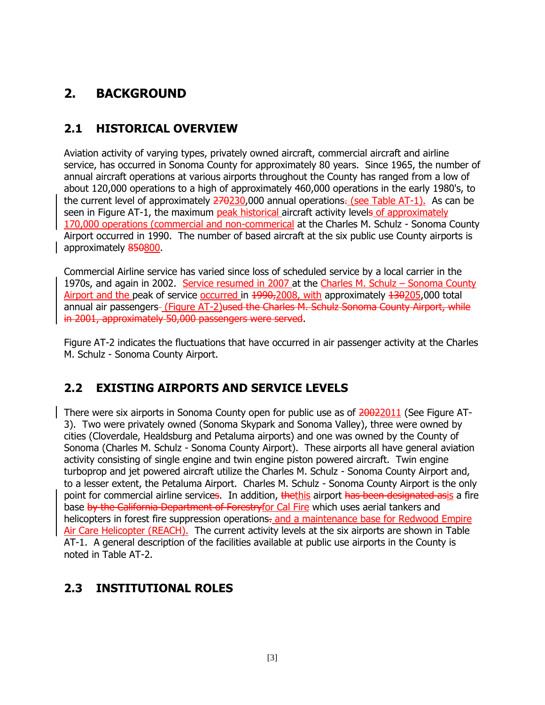# <span id="page-6-0"></span>**2. BACKGROUND**

### <span id="page-6-1"></span>**2.1 HISTORICAL OVERVIEW**

Aviation activity of varying types, privately owned aircraft, commercial aircraft and airline service, has occurred in Sonoma County for approximately 80 years. Since 1965, the number of annual aircraft operations at various airports throughout the County has ranged from a low of about 120,000 operations to a high of approximately 460,000 operations in the early 1980's, to the current level of approximately  $270230,000$  annual operations. (see Table AT-1). As can be seen in Figure AT-1, the maximum peak historical aircraft activity levels of approximately 170,000 operations (commercial and non-commerical at the Charles M. Schulz - Sonoma County Airport occurred in 1990. The number of based aircraft at the six public use County airports is approximately 850800.

Commercial Airline service has varied since loss of scheduled service by a local carrier in the 1970s, and again in 2002. Service resumed in 2007 at the Charles M. Schulz – Sonoma County Airport and the peak of service occurred in 1990, 2008, with approximately 130205,000 total annual air passengers- (Figure AT-2)used the Charles M. Schulz Sonoma County Airport, while in 2001, approximately 50,000 passengers were served.

Figure AT-2 indicates the fluctuations that have occurred in air passenger activity at the Charles M. Schulz - Sonoma County Airport.

## <span id="page-6-2"></span>**2.2 EXISTING AIRPORTS AND SERVICE LEVELS**

There were six airports in Sonoma County open for public use as of 20022011 (See Figure AT-3). Two were privately owned (Sonoma Skypark and Sonoma Valley), three were owned by cities (Cloverdale, Healdsburg and Petaluma airports) and one was owned by the County of Sonoma (Charles M. Schulz - Sonoma County Airport). These airports all have general aviation activity consisting of single engine and twin engine piston powered aircraft. Twin engine turboprop and jet powered aircraft utilize the Charles M. Schulz - Sonoma County Airport and, to a lesser extent, the Petaluma Airport. Charles M. Schulz - Sonoma County Airport is the only point for commercial airline services. In addition, thethis airport has been designated asis a fire base by the California Department of Forestryfor Cal Fire which uses aerial tankers and helicopters in forest fire suppression operations. and a maintenance base for Redwood Empire Air Care Helicopter (REACH). The current activity levels at the six airports are shown in Table AT-1. A general description of the facilities available at public use airports in the County is noted in Table AT-2.

## <span id="page-6-3"></span>**2.3 INSTITUTIONAL ROLES**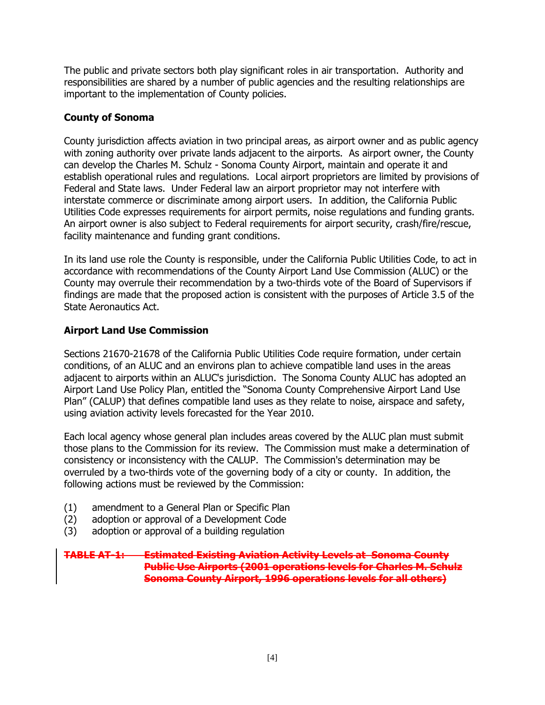The public and private sectors both play significant roles in air transportation. Authority and responsibilities are shared by a number of public agencies and the resulting relationships are important to the implementation of County policies.

#### **County of Sonoma**

County jurisdiction affects aviation in two principal areas, as airport owner and as public agency with zoning authority over private lands adjacent to the airports. As airport owner, the County can develop the Charles M. Schulz - Sonoma County Airport, maintain and operate it and establish operational rules and regulations. Local airport proprietors are limited by provisions of Federal and State laws. Under Federal law an airport proprietor may not interfere with interstate commerce or discriminate among airport users. In addition, the California Public Utilities Code expresses requirements for airport permits, noise regulations and funding grants. An airport owner is also subject to Federal requirements for airport security, crash/fire/rescue, facility maintenance and funding grant conditions.

In its land use role the County is responsible, under the California Public Utilities Code, to act in accordance with recommendations of the County Airport Land Use Commission (ALUC) or the County may overrule their recommendation by a two-thirds vote of the Board of Supervisors if findings are made that the proposed action is consistent with the purposes of Article 3.5 of the State Aeronautics Act.

#### **Airport Land Use Commission**

Sections 21670-21678 of the California Public Utilities Code require formation, under certain conditions, of an ALUC and an environs plan to achieve compatible land uses in the areas adjacent to airports within an ALUC's jurisdiction. The Sonoma County ALUC has adopted an Airport Land Use Policy Plan, entitled the "Sonoma County Comprehensive Airport Land Use Plan" (CALUP) that defines compatible land uses as they relate to noise, airspace and safety, using aviation activity levels forecasted for the Year 2010.

Each local agency whose general plan includes areas covered by the ALUC plan must submit those plans to the Commission for its review. The Commission must make a determination of consistency or inconsistency with the CALUP. The Commission's determination may be overruled by a two-thirds vote of the governing body of a city or county. In addition, the following actions must be reviewed by the Commission:

- (1) amendment to a General Plan or Specific Plan
- (2) adoption or approval of a Development Code
- (3) adoption or approval of a building regulation

#### **TABLE AT-1: Estimated Existing Aviation Activity Levels at Sonoma County Public Use Airports (2001 operations levels for Charles M. Schulz Sonoma County Airport, 1996 operations levels for all others)**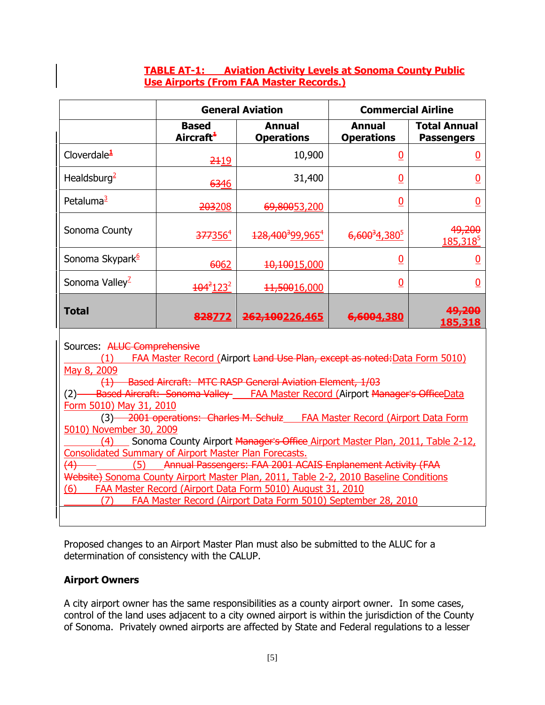#### **TABLE AT-1: Aviation Activity Levels at Sonoma County Public Use Airports (From FAA Master Records.)**

|                                                                                                                                                                                                                                                                                                |                                       | <b>General Aviation</b>                                                                                                                                                                                                                                                                                                                                                                             | <b>Commercial Airline</b>          |                                          |
|------------------------------------------------------------------------------------------------------------------------------------------------------------------------------------------------------------------------------------------------------------------------------------------------|---------------------------------------|-----------------------------------------------------------------------------------------------------------------------------------------------------------------------------------------------------------------------------------------------------------------------------------------------------------------------------------------------------------------------------------------------------|------------------------------------|------------------------------------------|
|                                                                                                                                                                                                                                                                                                | <b>Based</b><br>Aircraft <sup>+</sup> | <b>Annual</b><br><b>Operations</b>                                                                                                                                                                                                                                                                                                                                                                  | <b>Annual</b><br><b>Operations</b> | <b>Total Annual</b><br><b>Passengers</b> |
| Cloverdale $\frac{1}{2}$                                                                                                                                                                                                                                                                       | 2419                                  | 10,900                                                                                                                                                                                                                                                                                                                                                                                              | $\overline{0}$                     | <u>0</u>                                 |
| Healdsburg <sup>2</sup>                                                                                                                                                                                                                                                                        | 6346                                  | 31,400                                                                                                                                                                                                                                                                                                                                                                                              | 0                                  | $\overline{0}$                           |
| Petaluma <sup>3</sup>                                                                                                                                                                                                                                                                          | 203208                                | 69,80053,200                                                                                                                                                                                                                                                                                                                                                                                        | $\overline{0}$                     | $\overline{0}$                           |
| Sonoma County                                                                                                                                                                                                                                                                                  | 377356 <sup>4</sup>                   | 128,400 <sup>3</sup> 99,965 <sup>4</sup>                                                                                                                                                                                                                                                                                                                                                            | $6,600^34,380^5$                   | 49,200<br><u>185,318<sup>5</sup></u>     |
| Sonoma Skypark <sup>6</sup>                                                                                                                                                                                                                                                                    | 6062                                  | 10,10015,000                                                                                                                                                                                                                                                                                                                                                                                        | $\overline{0}$                     | 0                                        |
| Sonoma Valley <sup>1</sup>                                                                                                                                                                                                                                                                     | $104^2$ 123 <sup>2</sup>              | 11,50016,000                                                                                                                                                                                                                                                                                                                                                                                        | 0                                  | 0                                        |
| <b>Total</b>                                                                                                                                                                                                                                                                                   | 828772                                | 262,100226,465                                                                                                                                                                                                                                                                                                                                                                                      | 6,6004,380                         | 49,200<br>185,318                        |
| Sources: ALUC Comprehensive<br>(1)<br>May 8, 2009<br>Form 5010) May 31, 2010<br>5010) November 30, 2009<br>(4)<br><b>Consolidated Summary of Airport Master Plan Forecasts.</b><br>(4)<br>(6)                                                                                                  |                                       | FAA Master Record (Airport Land Use Plan, except as noted: Data Form 5010)<br>(1) Based Aircraft: MTC RASP General Aviation Element, 1/03<br>(2) Based Aircraft: Sonoma Valley ____ FAA Master Record (Airport Manager's OfficeData<br>(3) 2001 operations: Charles M. Schulz FAA Master Record (Airport Data Form<br>Sonoma County Airport Manager's Office Airport Master Plan, 2011, Table 2-12, |                                    |                                          |
| (5) Annual Passengers: FAA 2001 ACAIS Enplanement Activity (FAA<br>Website) Sonoma County Airport Master Plan, 2011, Table 2-2, 2010 Baseline Conditions<br>FAA Master Record (Airport Data Form 5010) August 31, 2010<br>FAA Master Record (Airport Data Form 5010) September 28, 2010<br>(7) |                                       |                                                                                                                                                                                                                                                                                                                                                                                                     |                                    |                                          |

Proposed changes to an Airport Master Plan must also be submitted to the ALUC for a determination of consistency with the CALUP.

#### **Airport Owners**

A city airport owner has the same responsibilities as a county airport owner. In some cases, control of the land uses adjacent to a city owned airport is within the jurisdiction of the County of Sonoma. Privately owned airports are affected by State and Federal regulations to a lesser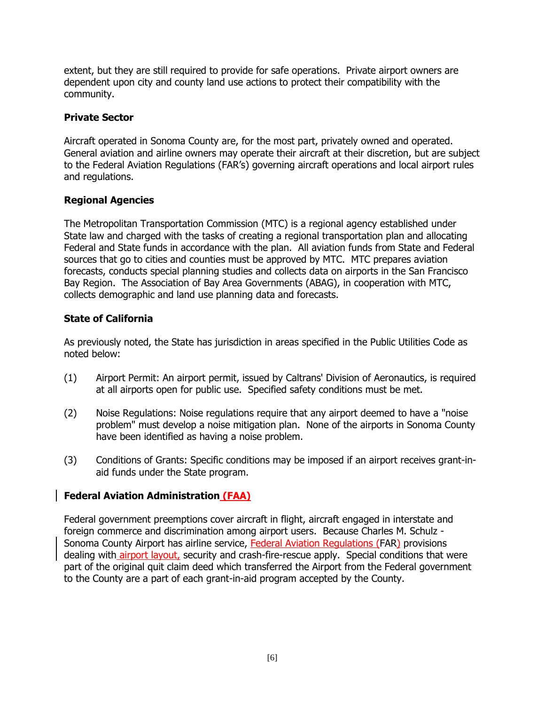extent, but they are still required to provide for safe operations. Private airport owners are dependent upon city and county land use actions to protect their compatibility with the community.

#### **Private Sector**

Aircraft operated in Sonoma County are, for the most part, privately owned and operated. General aviation and airline owners may operate their aircraft at their discretion, but are subject to the Federal Aviation Regulations (FAR's) governing aircraft operations and local airport rules and regulations.

#### **Regional Agencies**

The Metropolitan Transportation Commission (MTC) is a regional agency established under State law and charged with the tasks of creating a regional transportation plan and allocating Federal and State funds in accordance with the plan. All aviation funds from State and Federal sources that go to cities and counties must be approved by MTC. MTC prepares aviation forecasts, conducts special planning studies and collects data on airports in the San Francisco Bay Region. The Association of Bay Area Governments (ABAG), in cooperation with MTC, collects demographic and land use planning data and forecasts.

#### **State of California**

As previously noted, the State has jurisdiction in areas specified in the Public Utilities Code as noted below:

- (1) Airport Permit: An airport permit, issued by Caltrans' Division of Aeronautics, is required at all airports open for public use. Specified safety conditions must be met.
- (2) Noise Regulations: Noise regulations require that any airport deemed to have a "noise problem" must develop a noise mitigation plan. None of the airports in Sonoma County have been identified as having a noise problem.
- (3) Conditions of Grants: Specific conditions may be imposed if an airport receives grant-inaid funds under the State program.

#### **Federal Aviation Administration (FAA)**

Federal government preemptions cover aircraft in flight, aircraft engaged in interstate and foreign commerce and discrimination among airport users. Because Charles M. Schulz - Sonoma County Airport has airline service, Federal Aviation Regulations (FAR) provisions dealing with **airport layout**, security and crash-fire-rescue apply. Special conditions that were part of the original quit claim deed which transferred the Airport from the Federal government to the County are a part of each grant-in-aid program accepted by the County.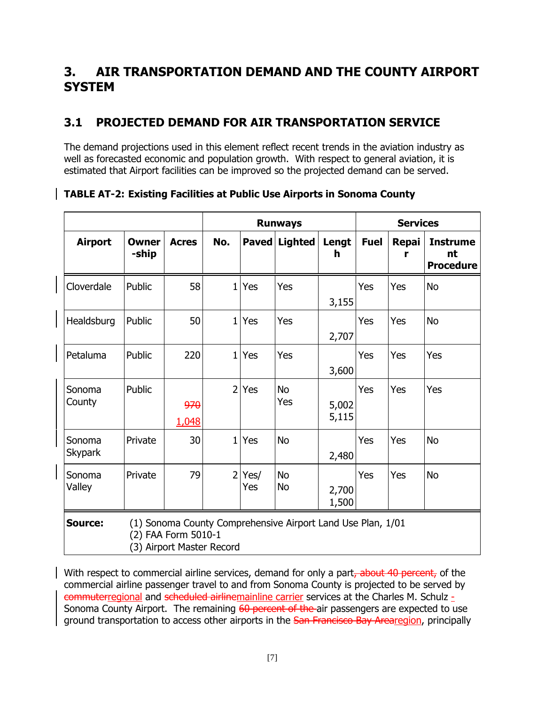# <span id="page-10-0"></span>**3. AIR TRANSPORTATION DEMAND AND THE COUNTY AIRPORT SYSTEM**

# <span id="page-10-1"></span>**3.1 PROJECTED DEMAND FOR AIR TRANSPORTATION SERVICE**

The demand projections used in this element reflect recent trends in the aviation industry as well as forecasted economic and population growth. With respect to general aviation, it is estimated that Airport facilities can be improved so the projected demand can be served.

|                          |                       |                                                  | <b>Runways</b> |              |                                                             | <b>Services</b> |             |                   |                                           |
|--------------------------|-----------------------|--------------------------------------------------|----------------|--------------|-------------------------------------------------------------|-----------------|-------------|-------------------|-------------------------------------------|
| <b>Airport</b>           | <b>Owner</b><br>-ship | <b>Acres</b>                                     | No.            | <b>Paved</b> | <b>Lighted</b>                                              | Lengt<br>h      | <b>Fuel</b> | <b>Repai</b><br>r | <b>Instrume</b><br>nt<br><b>Procedure</b> |
| Cloverdale               | Public                | 58                                               | $\mathbf{1}$   | Yes          | Yes                                                         | 3,155           | Yes         | Yes               | <b>No</b>                                 |
| Healdsburg               | Public                | 50                                               | $\mathbf{1}$   | Yes          | Yes                                                         | 2,707           | Yes         | Yes               | <b>No</b>                                 |
| Petaluma                 | Public                | 220                                              | $\mathbf{1}$   | Yes          | Yes                                                         | 3,600           | Yes         | Yes               | Yes                                       |
| Sonoma<br>County         | Public                | 970<br>1,048                                     | $\overline{2}$ | Yes          | <b>No</b><br>Yes                                            | 5,002<br>5,115  | Yes         | Yes               | Yes                                       |
| Sonoma<br><b>Skypark</b> | Private               | 30                                               | 1 <sup>1</sup> | Yes          | <b>No</b>                                                   | 2,480           | Yes         | Yes               | <b>No</b>                                 |
| Sonoma<br>Valley         | Private               | 79                                               | $\overline{2}$ | Yes/<br>Yes  | No<br><b>No</b>                                             | 2,700<br>1,500  | Yes         | Yes               | <b>No</b>                                 |
| <b>Source:</b>           |                       | (2) FAA Form 5010-1<br>(3) Airport Master Record |                |              | (1) Sonoma County Comprehensive Airport Land Use Plan, 1/01 |                 |             |                   |                                           |

**TABLE AT-2: Existing Facilities at Public Use Airports in Sonoma County**

With respect to commercial airline services, demand for only a part, about 40 percent, of the commercial airline passenger travel to and from Sonoma County is projected to be served by commuterregional and scheduled airlinemainline carrier services at the Charles M. Schulz - Sonoma County Airport. The remaining 60 percent of the air passengers are expected to use ground transportation to access other airports in the San Francisco Bay Arearegion, principally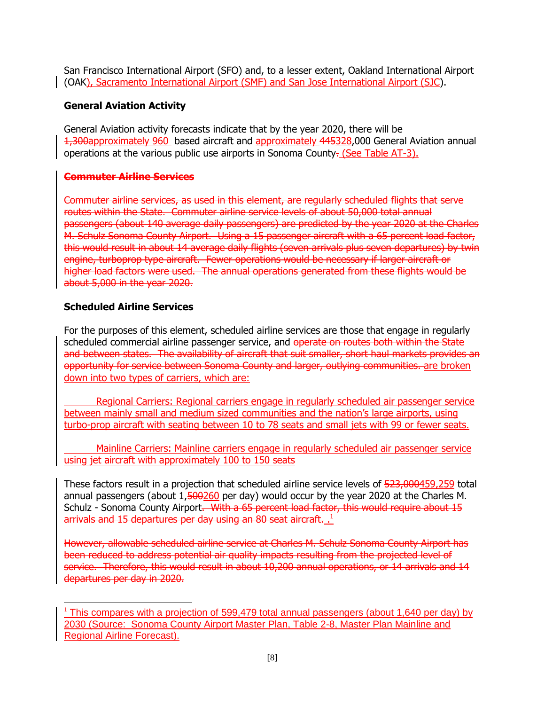San Francisco International Airport (SFO) and, to a lesser extent, Oakland International Airport (OAK), Sacramento International Airport (SMF) and San Jose International Airport (SJC).

#### **General Aviation Activity**

General Aviation activity forecasts indicate that by the year 2020, there will be 1,300approximately 960 based aircraft and approximately 445328,000 General Aviation annual operations at the various public use airports in Sonoma County. (See Table AT-3).

#### **Commuter Airline Services**

Commuter airline services, as used in this element, are regularly scheduled flights that serve routes within the State. Commuter airline service levels of about 50,000 total annual passengers (about 140 average daily passengers) are predicted by the year 2020 at the Charles M. Schulz Sonoma County Airport. Using a 15 passenger aircraft with a 65 percent load factor, this would result in about 14 average daily flights (seven arrivals plus seven departures) by twin engine, turboprop type aircraft. Fewer operations would be necessary if larger aircraft or higher load factors were used. The annual operations generated from these flights would be about 5,000 in the year 2020.

#### **Scheduled Airline Services**

For the purposes of this element, scheduled airline services are those that engage in regularly scheduled commercial airline passenger service, and operate on routes both within the State and between states. The availability of aircraft that suit smaller, short haul markets provides an opportunity for service between Sonoma County and larger, outlying communities. are broken down into two types of carriers, which are:

Regional Carriers: Regional carriers engage in regularly scheduled air passenger service between mainly small and medium sized communities and the nation's large airports, using turbo-prop aircraft with seating between 10 to 78 seats and small jets with 99 or fewer seats.

Mainline Carriers: Mainline carriers engage in regularly scheduled air passenger service using jet aircraft with approximately 100 to 150 seats

These factors result in a projection that scheduled airline service levels of 523,000459,259 total annual passengers (about 1,500260 per day) would occur by the year 2020 at the Charles M. Schulz - Sonoma County Airport. With a 65 percent load factor, this would require about 15 arrivals and 15 departures per day using an 80 seat aircraft.  $^{1}_{\ldots}$ 

However, allowable scheduled airline service at Charles M. Schulz Sonoma County Airport has been reduced to address potential air quality impacts resulting from the projected level of service. Therefore, this would result in about 10,200 annual operations, or 14 arrivals and 14 departures per day in 2020.

 $\overline{a}$ <sup>1</sup> This compares with a projection of 599,479 total annual passengers (about 1,640 per day) by 2030 (Source: Sonoma County Airport Master Plan, Table 2-8, Master Plan Mainline and Regional Airline Forecast).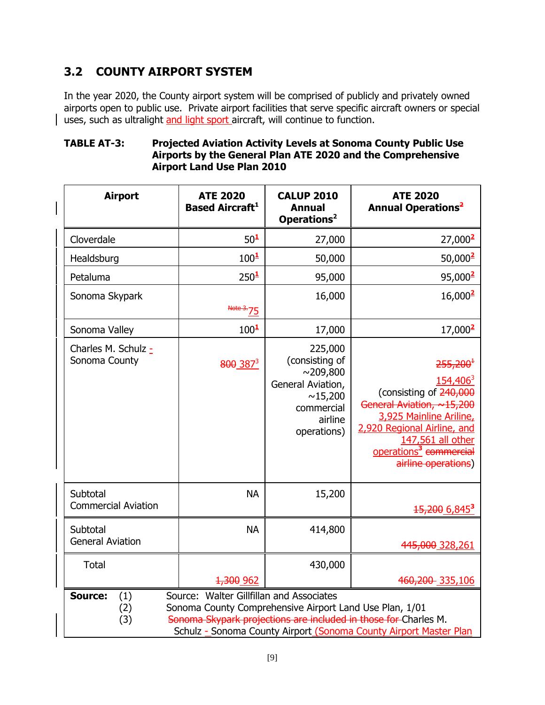# <span id="page-12-0"></span>**3.2 COUNTY AIRPORT SYSTEM**

In the year 2020, the County airport system will be comprised of publicly and privately owned airports open to public use. Private airport facilities that serve specific aircraft owners or special uses, such as ultralight and light sport aircraft, will continue to function.

#### **TABLE AT-3: Projected Aviation Activity Levels at Sonoma County Public Use Airports by the General Plan ATE 2020 and the Comprehensive Airport Land Use Plan 2010**

| <b>Airport</b>                                                                                                                                                                                                                                                                     | <b>ATE 2020</b><br><b>Based Aircraft</b> <sup>1</sup> | <b>CALUP 2010</b><br><b>Annual</b><br>Operations <sup>2</sup>                                                       | <b>ATE 2020</b><br><b>Annual Operations<sup>2</sup></b>                                                                                                                                                                                         |
|------------------------------------------------------------------------------------------------------------------------------------------------------------------------------------------------------------------------------------------------------------------------------------|-------------------------------------------------------|---------------------------------------------------------------------------------------------------------------------|-------------------------------------------------------------------------------------------------------------------------------------------------------------------------------------------------------------------------------------------------|
| Cloverdale                                                                                                                                                                                                                                                                         | $50^{\frac{1}{2}}$                                    | 27,000                                                                                                              | 27,000 <sup>2</sup>                                                                                                                                                                                                                             |
| Healdsburg                                                                                                                                                                                                                                                                         | 100 <sup>1</sup>                                      | 50,000                                                                                                              | 50,000 <sup>2</sup>                                                                                                                                                                                                                             |
| Petaluma                                                                                                                                                                                                                                                                           | 250 <sup>1</sup>                                      | 95,000                                                                                                              | 95,000 <sup>2</sup>                                                                                                                                                                                                                             |
| Sonoma Skypark                                                                                                                                                                                                                                                                     | <del>Notc</del><br>$\frac{3}{2}$ 75                   | 16,000                                                                                                              | $16,000^2$                                                                                                                                                                                                                                      |
| Sonoma Valley                                                                                                                                                                                                                                                                      | 100 <sup>1</sup>                                      | 17,000                                                                                                              | $17,000^2$                                                                                                                                                                                                                                      |
| Charles M. Schulz -<br>Sonoma County                                                                                                                                                                                                                                               | $800 \cdot 387^3$                                     | 225,000<br>(consisting of<br>$\sim$ 209,800<br>General Aviation,<br>~15,200<br>commercial<br>airline<br>operations) | $255,200^{\text{-}}$<br>154,406 <sup>3</sup><br>(consisting of 240,000<br>General Aviation, ~15,200<br>3,925 Mainline Ariline,<br>2,920 Regional Airline, and<br>147,561 all other<br>operations <sup>3</sup> commercial<br>airline operations) |
| Subtotal<br><b>Commercial Aviation</b>                                                                                                                                                                                                                                             | <b>NA</b>                                             | 15,200                                                                                                              | 15,200 6,845 <sup>3</sup>                                                                                                                                                                                                                       |
| Subtotal<br><b>General Aviation</b>                                                                                                                                                                                                                                                | <b>NA</b>                                             | 414,800                                                                                                             | 445,000 328,261                                                                                                                                                                                                                                 |
| <b>Total</b>                                                                                                                                                                                                                                                                       |                                                       | 430,000                                                                                                             |                                                                                                                                                                                                                                                 |
|                                                                                                                                                                                                                                                                                    | <del>1,300</del> 962                                  |                                                                                                                     | 460,200 335,106                                                                                                                                                                                                                                 |
| Source: Walter Gillfillan and Associates<br><b>Source:</b><br>(1)<br>Sonoma County Comprehensive Airport Land Use Plan, 1/01<br>(2)<br>Sonoma Skypark projections are included in those for Charles M.<br>(3)<br>Schulz - Sonoma County Airport (Sonoma County Airport Master Plan |                                                       |                                                                                                                     |                                                                                                                                                                                                                                                 |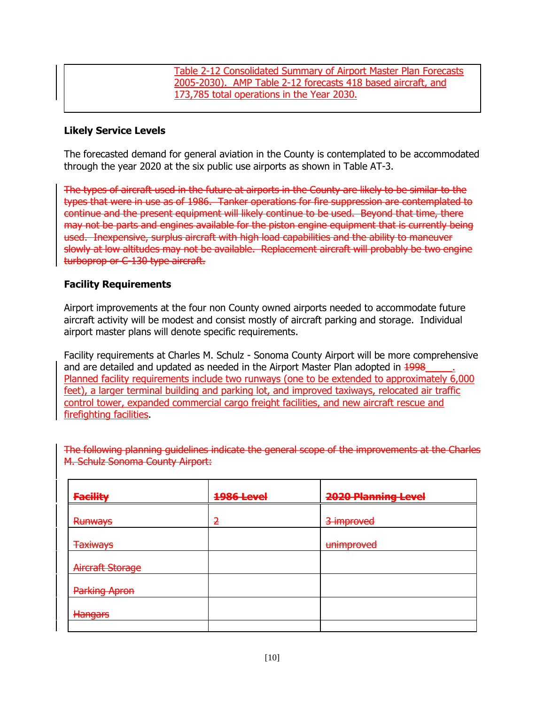Table 2-12 Consolidated Summary of Airport Master Plan Forecasts 2005-2030). AMP Table 2-12 forecasts 418 based aircraft, and 173,785 total operations in the Year 2030.

#### **Likely Service Levels**

The forecasted demand for general aviation in the County is contemplated to be accommodated through the year 2020 at the six public use airports as shown in Table AT-3.

The types of aircraft used in the future at airports in the County are likely to be similar to the types that were in use as of 1986. Tanker operations for fire suppression are contemplated to continue and the present equipment will likely continue to be used. Beyond that time, there may not be parts and engines available for the piston engine equipment that is currently being used. Inexpensive, surplus aircraft with high load capabilities and the ability to maneuver slowly at low altitudes may not be available. Replacement aircraft will probably be two engine turboprop or C-130 type aircraft.

#### **Facility Requirements**

Airport improvements at the four non County owned airports needed to accommodate future aircraft activity will be modest and consist mostly of aircraft parking and storage. Individual airport master plans will denote specific requirements.

Facility requirements at Charles M. Schulz - Sonoma County Airport will be more comprehensive and are detailed and updated as needed in the Airport Master Plan adopted in 1998 Planned facility requirements include two runways (one to be extended to approximately 6,000 feet), a larger terminal building and parking lot, and improved taxiways, relocated air traffic control tower, expanded commercial cargo freight facilities, and new aircraft rescue and firefighting facilities.

The following planning guidelines indicate the general scope of the improvements at the Charles M. Schulz Sonoma County Airport:

| <b>Facility</b>      | <b>1986 Level</b> | <b>2020 Planning Level</b> |
|----------------------|-------------------|----------------------------|
| <b>Runways</b>       | 2                 | 3 improved                 |
| <b>Taxiways</b>      |                   | unimproved                 |
| Aircraft Storage     |                   |                            |
| <b>Parking Apron</b> |                   |                            |
| Hangars              |                   |                            |
|                      |                   |                            |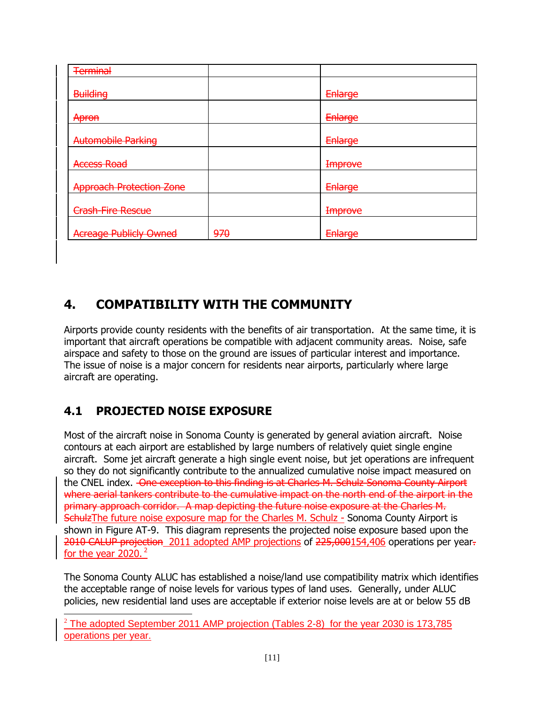| <b>Terminal</b>                 |     |                |
|---------------------------------|-----|----------------|
|                                 |     |                |
| <b>Building</b>                 |     | Enlarge        |
| Apron                           |     | Enlarge        |
|                                 |     |                |
| <b>Automobile Parking</b>       |     | Enlarge        |
| <b>Access Road</b>              |     | <b>Improve</b> |
| <b>Approach Protection Zone</b> |     | Enlarge        |
| <b>Crash-Fire Rescue</b>        |     | <b>Improve</b> |
| <b>Acreage Publicly Owned</b>   | 970 | Enlarge        |

# <span id="page-14-0"></span>**4. COMPATIBILITY WITH THE COMMUNITY**

Airports provide county residents with the benefits of air transportation. At the same time, it is important that aircraft operations be compatible with adjacent community areas. Noise, safe airspace and safety to those on the ground are issues of particular interest and importance. The issue of noise is a major concern for residents near airports, particularly where large aircraft are operating.

# <span id="page-14-1"></span>**4.1 PROJECTED NOISE EXPOSURE**

 $\overline{\phantom{a}}$ 

Most of the aircraft noise in Sonoma County is generated by general aviation aircraft. Noise contours at each airport are established by large numbers of relatively quiet single engine aircraft. Some jet aircraft generate a high single event noise, but jet operations are infrequent so they do not significantly contribute to the annualized cumulative noise impact measured on the CNEL index. One exception to this finding is at Charles M. Schulz Sonoma County Airport where aerial tankers contribute to the cumulative impact on the north end of the airport in the primary approach corridor. A map depicting the future noise exposure at the Charles M. Schulz The future noise exposure map for the Charles M. Schulz - Sonoma County Airport is shown in Figure AT-9. This diagram represents the projected noise exposure based upon the 2010 CALUP projection 2011 adopted AMP projections of 225,000154,406 operations per year. for the year 2020. $2$ 

The Sonoma County ALUC has established a noise/land use compatibility matrix which identifies the acceptable range of noise levels for various types of land uses. Generally, under ALUC policies, new residential land uses are acceptable if exterior noise levels are at or below 55 dB

 $2$  The adopted September 2011 AMP projection (Tables 2-8) for the year 2030 is 173,785 operations per year.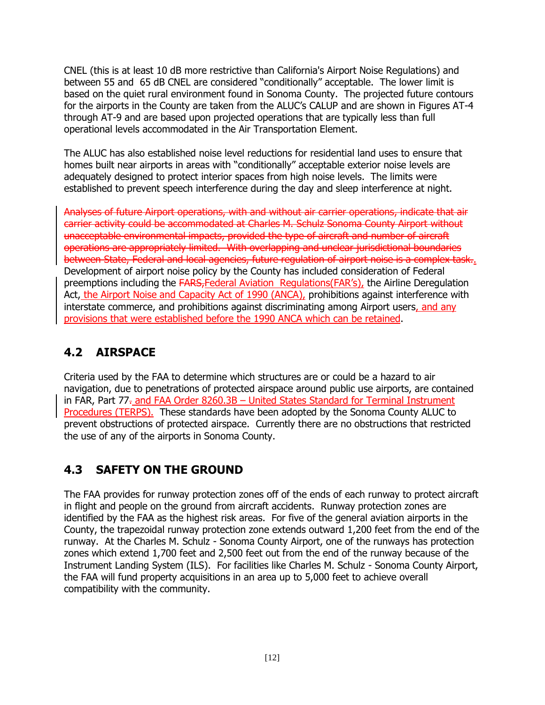CNEL (this is at least 10 dB more restrictive than California's Airport Noise Regulations) and between 55 and 65 dB CNEL are considered "conditionally" acceptable. The lower limit is based on the quiet rural environment found in Sonoma County. The projected future contours for the airports in the County are taken from the ALUC's CALUP and are shown in Figures AT-4 through AT-9 and are based upon projected operations that are typically less than full operational levels accommodated in the Air Transportation Element.

The ALUC has also established noise level reductions for residential land uses to ensure that homes built near airports in areas with "conditionally" acceptable exterior noise levels are adequately designed to protect interior spaces from high noise levels. The limits were established to prevent speech interference during the day and sleep interference at night.

Analyses of future Airport operations, with and without air carrier operations, indicate that air carrier activity could be accommodated at Charles M. Schulz Sonoma County Airport without unacceptable environmental impacts, provided the type of aircraft and number of aircraft operations are appropriately limited. With overlapping and unclear jurisdictional boundaries between State, Federal and local agencies, future regulation of airport noise is a complex task.. Development of airport noise policy by the County has included consideration of Federal preemptions including the FARS,Federal Aviation Regulations(FAR's), the Airline Deregulation Act, the Airport Noise and Capacity Act of 1990 (ANCA), prohibitions against interference with interstate commerce, and prohibitions against discriminating among Airport users, and any provisions that were established before the 1990 ANCA which can be retained.

# <span id="page-15-0"></span>**4.2 AIRSPACE**

Criteria used by the FAA to determine which structures are or could be a hazard to air navigation, due to penetrations of protected airspace around public use airports, are contained in FAR, Part 77. and FAA Order 8260.3B – United States Standard for Terminal Instrument Procedures (TERPS). These standards have been adopted by the Sonoma County ALUC to prevent obstructions of protected airspace. Currently there are no obstructions that restricted the use of any of the airports in Sonoma County.

## <span id="page-15-1"></span>**4.3 SAFETY ON THE GROUND**

The FAA provides for runway protection zones off of the ends of each runway to protect aircraft in flight and people on the ground from aircraft accidents. Runway protection zones are identified by the FAA as the highest risk areas. For five of the general aviation airports in the County, the trapezoidal runway protection zone extends outward 1,200 feet from the end of the runway. At the Charles M. Schulz - Sonoma County Airport, one of the runways has protection zones which extend 1,700 feet and 2,500 feet out from the end of the runway because of the Instrument Landing System (ILS). For facilities like Charles M. Schulz - Sonoma County Airport, the FAA will fund property acquisitions in an area up to 5,000 feet to achieve overall compatibility with the community.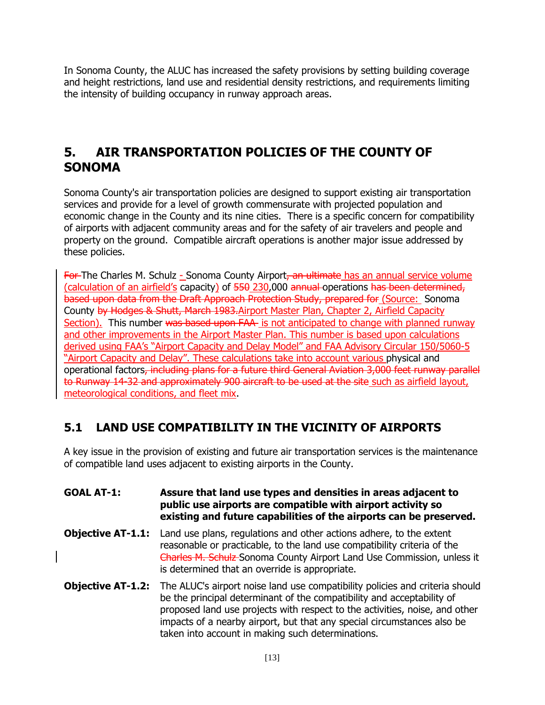In Sonoma County, the ALUC has increased the safety provisions by setting building coverage and height restrictions, land use and residential density restrictions, and requirements limiting the intensity of building occupancy in runway approach areas.

### <span id="page-16-0"></span>**5. AIR TRANSPORTATION POLICIES OF THE COUNTY OF SONOMA**

Sonoma County's air transportation policies are designed to support existing air transportation services and provide for a level of growth commensurate with projected population and economic change in the County and its nine cities. There is a specific concern for compatibility of airports with adjacent community areas and for the safety of air travelers and people and property on the ground. Compatible aircraft operations is another major issue addressed by these policies.

For-The Charles M. Schulz - Sonoma County Airport, an ultimate has an annual service volume (calculation of an airfield's capacity) of 550 230,000 annual operations has been determined, based upon data from the Draft Approach Protection Study, prepared for (Source: Sonoma County by Hodges & Shutt, March 1983.Airport Master Plan, Chapter 2, Airfield Capacity Section). This number was based upon FAA is not anticipated to change with planned runway and other improvements in the Airport Master Plan. This number is based upon calculations derived using FAA's "Airport Capacity and Delay Model" and FAA Advisory Circular 150/5060-5 "Airport Capacity and Delay". These calculations take into account various physical and operational factors, including plans for a future third General Aviation 3,000 feet runway parallel to Runway 14-32 and approximately 900 aircraft to be used at the site such as airfield layout, meteorological conditions, and fleet mix.

## <span id="page-16-1"></span>**5.1 LAND USE COMPATIBILITY IN THE VICINITY OF AIRPORTS**

A key issue in the provision of existing and future air transportation services is the maintenance of compatible land uses adjacent to existing airports in the County.

#### **GOAL AT-1: Assure that land use types and densities in areas adjacent to public use airports are compatible with airport activity so existing and future capabilities of the airports can be preserved.**

- **Objective AT-1.1:** Land use plans, regulations and other actions adhere, to the extent reasonable or practicable, to the land use compatibility criteria of the Charles M. Schulz Sonoma County Airport Land Use Commission, unless it is determined that an override is appropriate.
- **Objective AT-1.2:** The ALUC's airport noise land use compatibility policies and criteria should be the principal determinant of the compatibility and acceptability of proposed land use projects with respect to the activities, noise, and other impacts of a nearby airport, but that any special circumstances also be taken into account in making such determinations.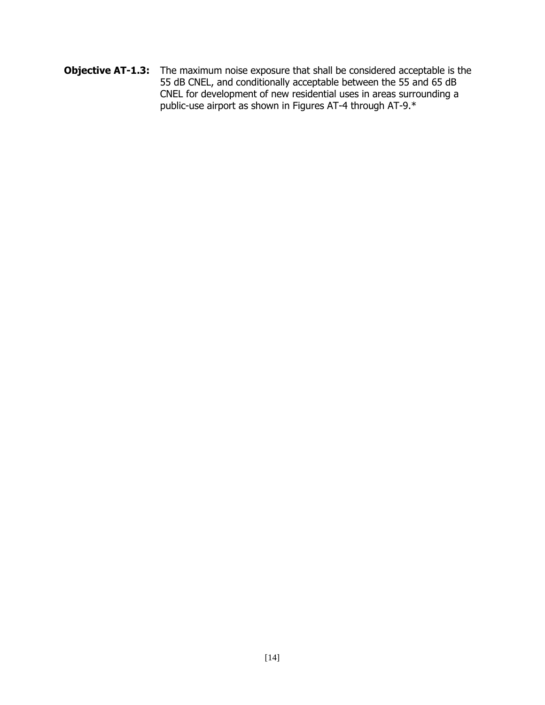**Objective AT-1.3:** The maximum noise exposure that shall be considered acceptable is the 55 dB CNEL, and conditionally acceptable between the 55 and 65 dB CNEL for development of new residential uses in areas surrounding a public-use airport as shown in Figures AT-4 through AT-9.\*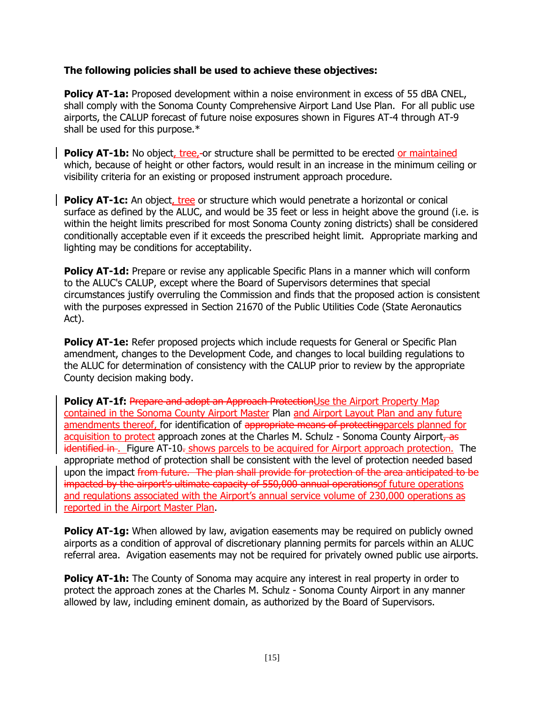#### **The following policies shall be used to achieve these objectives:**

**Policy AT-1a:** Proposed development within a noise environment in excess of 55 dBA CNEL, shall comply with the Sonoma County Comprehensive Airport Land Use Plan. For all public use airports, the CALUP forecast of future noise exposures shown in Figures AT-4 through AT-9 shall be used for this purpose.\*

**Policy AT-1b:** No object, tree,-or structure shall be permitted to be erected or maintained which, because of height or other factors, would result in an increase in the minimum ceiling or visibility criteria for an existing or proposed instrument approach procedure.

**Policy AT-1c:** An object, tree or structure which would penetrate a horizontal or conical surface as defined by the ALUC, and would be 35 feet or less in height above the ground (i.e. is within the height limits prescribed for most Sonoma County zoning districts) shall be considered conditionally acceptable even if it exceeds the prescribed height limit. Appropriate marking and lighting may be conditions for acceptability.

**Policy AT-1d:** Prepare or revise any applicable Specific Plans in a manner which will conform to the ALUC's CALUP, except where the Board of Supervisors determines that special circumstances justify overruling the Commission and finds that the proposed action is consistent with the purposes expressed in Section 21670 of the Public Utilities Code (State Aeronautics Act).

**Policy AT-1e:** Refer proposed projects which include requests for General or Specific Plan amendment, changes to the Development Code, and changes to local building regulations to the ALUC for determination of consistency with the CALUP prior to review by the appropriate County decision making body.

**Policy AT-1f:** Prepare and adopt an Approach ProtectionUse the Airport Property Map contained in the Sonoma County Airport Master Plan and Airport Layout Plan and any future amendments thereof, for identification of appropriate means of protecting parcels planned for acquisition to protect approach zones at the Charles M. Schulz - Sonoma County Airport, as identified in . Figure AT-10. shows parcels to be acquired for Airport approach protection. The appropriate method of protection shall be consistent with the level of protection needed based upon the impact from future. The plan shall provide for protection of the area anticipated to be impacted by the airport's ultimate capacity of 550,000 annual operations of future operations and regulations associated with the Airport's annual service volume of 230,000 operations as reported in the Airport Master Plan.

**Policy AT-1g:** When allowed by law, avigation easements may be required on publicly owned airports as a condition of approval of discretionary planning permits for parcels within an ALUC referral area. Avigation easements may not be required for privately owned public use airports.

**Policy AT-1h:** The County of Sonoma may acquire any interest in real property in order to protect the approach zones at the Charles M. Schulz - Sonoma County Airport in any manner allowed by law, including eminent domain, as authorized by the Board of Supervisors.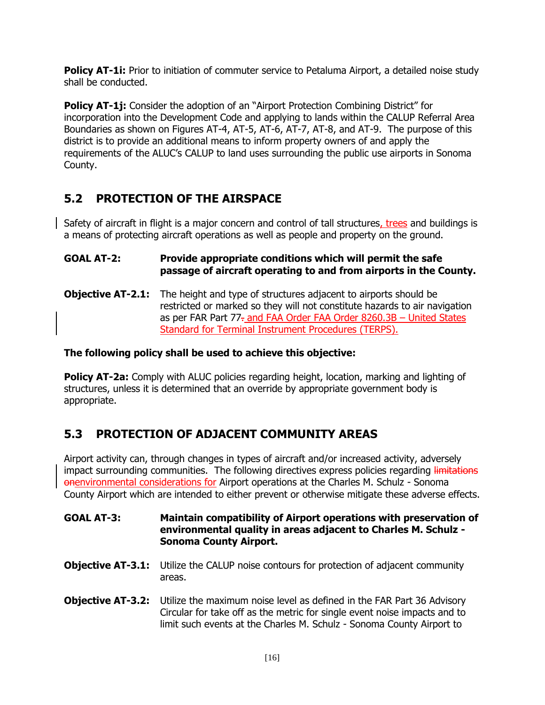**Policy AT-1i:** Prior to initiation of commuter service to Petaluma Airport, a detailed noise study shall be conducted.

**Policy AT-1j:** Consider the adoption of an "Airport Protection Combining District" for incorporation into the Development Code and applying to lands within the CALUP Referral Area Boundaries as shown on Figures AT-4, AT-5, AT-6, AT-7, AT-8, and AT-9. The purpose of this district is to provide an additional means to inform property owners of and apply the requirements of the ALUC's CALUP to land uses surrounding the public use airports in Sonoma County.

### <span id="page-19-0"></span>**5.2 PROTECTION OF THE AIRSPACE**

Safety of aircraft in flight is a major concern and control of tall structures, trees and buildings is a means of protecting aircraft operations as well as people and property on the ground.

#### **GOAL AT-2: Provide appropriate conditions which will permit the safe passage of aircraft operating to and from airports in the County.**

**Objective AT-2.1:** The height and type of structures adjacent to airports should be restricted or marked so they will not constitute hazards to air navigation as per FAR Part 77- and FAA Order FAA Order 8260.3B - United States Standard for Terminal Instrument Procedures (TERPS).

#### **The following policy shall be used to achieve this objective:**

**Policy AT-2a:** Comply with ALUC policies regarding height, location, marking and lighting of structures, unless it is determined that an override by appropriate government body is appropriate.

### <span id="page-19-1"></span>**5.3 PROTECTION OF ADJACENT COMMUNITY AREAS**

Airport activity can, through changes in types of aircraft and/or increased activity, adversely impact surrounding communities. The following directives express policies regarding limitations onenvironmental considerations for Airport operations at the Charles M. Schulz - Sonoma County Airport which are intended to either prevent or otherwise mitigate these adverse effects.

#### **GOAL AT-3: Maintain compatibility of Airport operations with preservation of environmental quality in areas adjacent to Charles M. Schulz - Sonoma County Airport.**

- **Objective AT-3.1:** Utilize the CALUP noise contours for protection of adjacent community areas.
- **Objective AT-3.2:** Utilize the maximum noise level as defined in the FAR Part 36 Advisory Circular for take off as the metric for single event noise impacts and to limit such events at the Charles M. Schulz - Sonoma County Airport to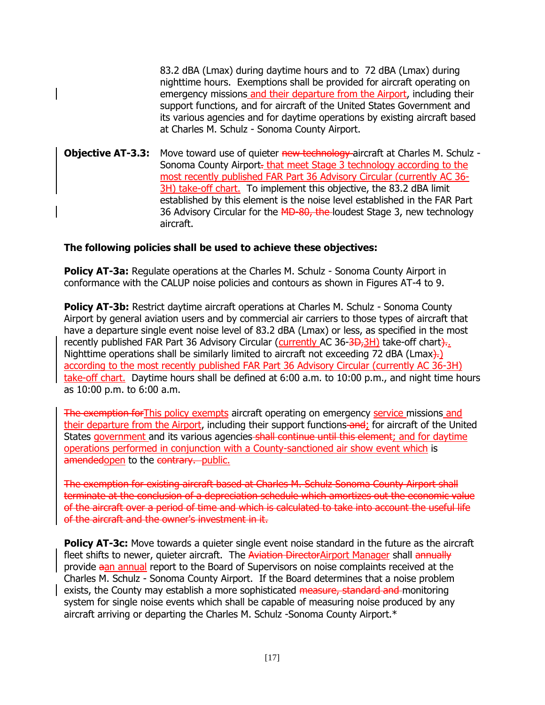83.2 dBA (Lmax) during daytime hours and to 72 dBA (Lmax) during nighttime hours. Exemptions shall be provided for aircraft operating on emergency missions and their departure from the Airport, including their support functions, and for aircraft of the United States Government and its various agencies and for daytime operations by existing aircraft based at Charles M. Schulz - Sonoma County Airport.

**Objective AT-3.3:** Move toward use of quieter new technology aircraft at Charles M. Schulz -Sonoma County Airport-that meet Stage 3 technology according to the most recently published FAR Part 36 Advisory Circular (currently AC 36- 3H) take-off chart. To implement this objective, the 83.2 dBA limit established by this element is the noise level established in the FAR Part 36 Advisory Circular for the MD-80, the loudest Stage 3, new technology aircraft.

#### **The following policies shall be used to achieve these objectives:**

**Policy AT-3a:** Regulate operations at the Charles M. Schulz - Sonoma County Airport in conformance with the CALUP noise policies and contours as shown in Figures AT-4 to 9.

**Policy AT-3b:** Restrict daytime aircraft operations at Charles M. Schulz - Sonoma County Airport by general aviation users and by commercial air carriers to those types of aircraft that have a departure single event noise level of 83.2 dBA (Lmax) or less, as specified in the most recently published FAR Part 36 Advisory Circular (currently AC 36-3D-3H) take-off chart).. Nighttime operations shall be similarly limited to aircraft not exceeding 72 dBA (Lmax $\}$ ). according to the most recently published FAR Part 36 Advisory Circular (currently AC 36-3H) take-off chart. Daytime hours shall be defined at 6:00 a.m. to 10:00 p.m., and night time hours as 10:00 p.m. to 6:00 a.m.

The exemption forThis policy exempts aircraft operating on emergency service missions and their departure from the Airport, including their support functions-and; for aircraft of the United States government and its various agencies shall continue until this element; and for daytime operations performed in conjunction with a County-sanctioned air show event which is amendedopen to the contrary. public.

The exemption for existing aircraft based at Charles M. Schulz Sonoma County Airport shall terminate at the conclusion of a depreciation schedule which amortizes out the economic value of the aircraft over a period of time and which is calculated to take into account the useful life of the aircraft and the owner's investment in it.

**Policy AT-3c:** Move towards a quieter single event noise standard in the future as the aircraft fleet shifts to newer, quieter aircraft. The Aviation DirectorAirport Manager shall annually provide aan annual report to the Board of Supervisors on noise complaints received at the Charles M. Schulz - Sonoma County Airport. If the Board determines that a noise problem exists, the County may establish a more sophisticated measure, standard and monitoring system for single noise events which shall be capable of measuring noise produced by any aircraft arriving or departing the Charles M. Schulz -Sonoma County Airport.\*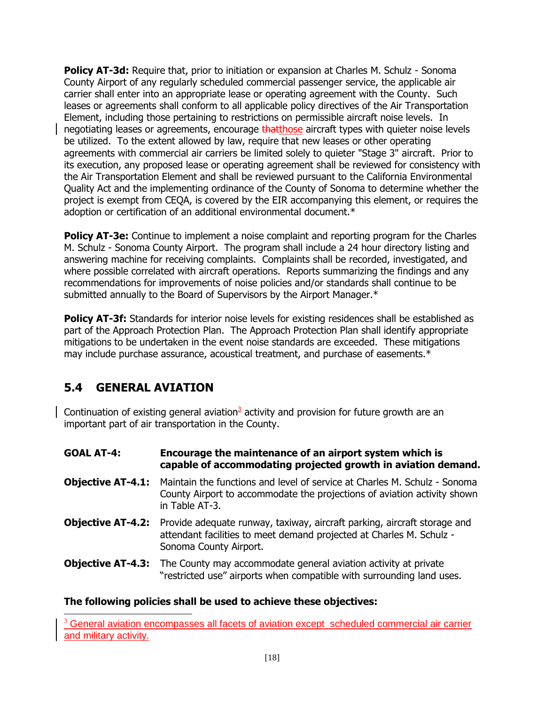**Policy AT-3d:** Require that, prior to initiation or expansion at Charles M. Schulz - Sonoma County Airport of any regularly scheduled commercial passenger service, the applicable air carrier shall enter into an appropriate lease or operating agreement with the County. Such leases or agreements shall conform to all applicable policy directives of the Air Transportation Element, including those pertaining to restrictions on permissible aircraft noise levels. In negotiating leases or agreements, encourage that those aircraft types with quieter noise levels be utilized. To the extent allowed by law, require that new leases or other operating agreements with commercial air carriers be limited solely to quieter "Stage 3" aircraft. Prior to its execution, any proposed lease or operating agreement shall be reviewed for consistency with the Air Transportation Element and shall be reviewed pursuant to the California Environmental Quality Act and the implementing ordinance of the County of Sonoma to determine whether the project is exempt from CEQA, is covered by the EIR accompanying this element, or requires the adoption or certification of an additional environmental document.<sup>\*</sup>

**Policy AT-3e:** Continue to implement a noise complaint and reporting program for the Charles M. Schulz - Sonoma County Airport. The program shall include a 24 hour directory listing and answering machine for receiving complaints. Complaints shall be recorded, investigated, and where possible correlated with aircraft operations. Reports summarizing the findings and any recommendations for improvements of noise policies and/or standards shall continue to be submitted annually to the Board of Supervisors by the Airport Manager.\*

**Policy AT-3f:** Standards for interior noise levels for existing residences shall be established as part of the Approach Protection Plan. The Approach Protection Plan shall identify appropriate mitigations to be undertaken in the event noise standards are exceeded. These mitigations may include purchase assurance, acoustical treatment, and purchase of easements.\*

### <span id="page-21-0"></span>**5.4 GENERAL AVIATION**

Continuation of existing general aviation<sup>3</sup> activity and provision for future growth are an important part of air transportation in the County.

| <b>GOAL AT-4:</b>        | Encourage the maintenance of an airport system which is<br>capable of accommodating projected growth in aviation demand.                                                                            |
|--------------------------|-----------------------------------------------------------------------------------------------------------------------------------------------------------------------------------------------------|
| <b>Objective AT-4.1:</b> | Maintain the functions and level of service at Charles M. Schulz - Sonoma<br>County Airport to accommodate the projections of aviation activity shown<br>in Table AT-3.                             |
|                          | <b>Objective AT-4.2:</b> Provide adequate runway, taxiway, aircraft parking, aircraft storage and<br>attendant facilities to meet demand projected at Charles M. Schulz -<br>Sonoma County Airport. |
|                          | <b>Objective AT-4.3:</b> The County may accommodate general aviation activity at private<br>"restricted use" airports when compatible with surrounding land uses.                                   |

#### **The following policies shall be used to achieve these objectives:**

 $\overline{\phantom{a}}$  $3$  General aviation encompasses all facets of aviation except scheduled commercial air carrier and military activity.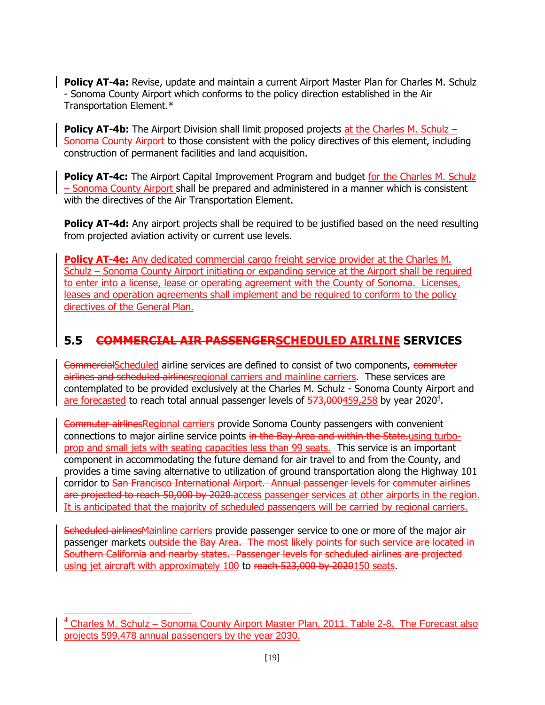**Policy AT-4a:** Revise, update and maintain a current Airport Master Plan for Charles M. Schulz - Sonoma County Airport which conforms to the policy direction established in the Air Transportation Element.\*

**Policy AT-4b:** The Airport Division shall limit proposed projects at the Charles M. Schulz – Sonoma County Airport to those consistent with the policy directives of this element, including construction of permanent facilities and land acquisition.

**Policy AT-4c:** The Airport Capital Improvement Program and budget for the Charles M. Schulz – Sonoma County Airport shall be prepared and administered in a manner which is consistent with the directives of the Air Transportation Element.

**Policy AT-4d:** Any airport projects shall be required to be justified based on the need resulting from projected aviation activity or current use levels.

**Policy AT-4e:** Any dedicated commercial cargo freight service provider at the Charles M. Schulz – Sonoma County Airport initiating or expanding service at the Airport shall be required to enter into a license, lease or operating agreement with the County of Sonoma. Licenses, leases and operation agreements shall implement and be required to conform to the policy directives of the General Plan.

### <span id="page-22-0"></span>**5.5 COMMERCIAL AIR PASSENGERSCHEDULED AIRLINE SERVICES**

CommercialScheduled airline services are defined to consist of two components, commuter airlines and scheduled airlinesregional carriers and mainline carriers. These services are contemplated to be provided exclusively at the Charles M. Schulz - Sonoma County Airport and are forecasted to reach total annual passenger levels of 573,000459,258 by year 2020<sup>4</sup>.

Commuter airlinesRegional carriers provide Sonoma County passengers with convenient connections to major airline service points in the Bay Area and within the State.using turboprop and small jets with seating capacities less than 99 seats. This service is an important component in accommodating the future demand for air travel to and from the County, and provides a time saving alternative to utilization of ground transportation along the Highway 101 corridor to San Francisco International Airport. Annual passenger levels for commuter airlines are projected to reach 50,000 by 2020 access passenger services at other airports in the region. It is anticipated that the majority of scheduled passengers will be carried by regional carriers.

Scheduled airlinesMainline carriers provide passenger service to one or more of the major air passenger markets outside the Bay Area. The most likely points for such service are located in Southern California and nearby states. Passenger levels for scheduled airlines are projected using jet aircraft with approximately 100 to reach 523,000 by 2020150 seats.

 $\overline{\phantom{a}}$ 

 $4$  Charles M. Schulz – Sonoma County Airport Master Plan, 2011. Table 2-8. The Forecast also projects 599,478 annual passengers by the year 2030.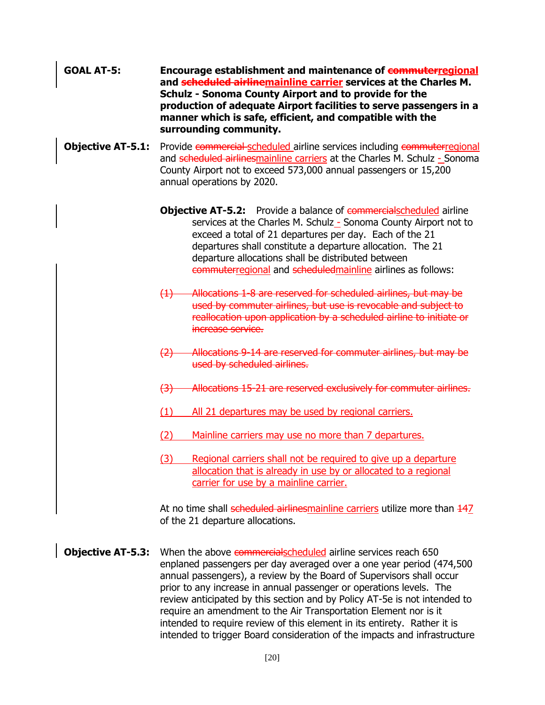- **GOAL AT-5: Encourage establishment and maintenance of commuterregional and scheduled airlinemainline carrier services at the Charles M. Schulz - Sonoma County Airport and to provide for the production of adequate Airport facilities to serve passengers in a manner which is safe, efficient, and compatible with the surrounding community.**
- **Objective AT-5.1:** Provide commercial scheduled airline services including commuterregional and scheduled airlinesmainline carriers at the Charles M. Schulz - Sonoma County Airport not to exceed 573,000 annual passengers or 15,200 annual operations by 2020.
	- **Objective AT-5.2:** Provide a balance of **commercialscheduled airline** services at the Charles M. Schulz - Sonoma County Airport not to exceed a total of 21 departures per day. Each of the 21 departures shall constitute a departure allocation. The 21 departure allocations shall be distributed between commuterregional and scheduledmainline airlines as follows:
	- (1) Allocations 1-8 are reserved for scheduled airlines, but may be used by commuter airlines, but use is revocable and subject to reallocation upon application by a scheduled airline to initiate or increase service.
	- (2) Allocations 9-14 are reserved for commuter airlines, but may be used by scheduled airlines.
	- (3) Allocations 15-21 are reserved exclusively for commuter airlines.
	- (1) All 21 departures may be used by regional carriers.
	- (2) Mainline carriers may use no more than 7 departures.
	- (3) Regional carriers shall not be required to give up a departure allocation that is already in use by or allocated to a regional carrier for use by a mainline carrier.

At no time shall scheduled airlinesmainline carriers utilize more than  $\frac{147}{12}$ of the 21 departure allocations.

**Objective AT-5.3:** When the above commercialscheduled airline services reach 650 enplaned passengers per day averaged over a one year period (474,500 annual passengers), a review by the Board of Supervisors shall occur prior to any increase in annual passenger or operations levels. The review anticipated by this section and by Policy AT-5e is not intended to require an amendment to the Air Transportation Element nor is it intended to require review of this element in its entirety. Rather it is intended to trigger Board consideration of the impacts and infrastructure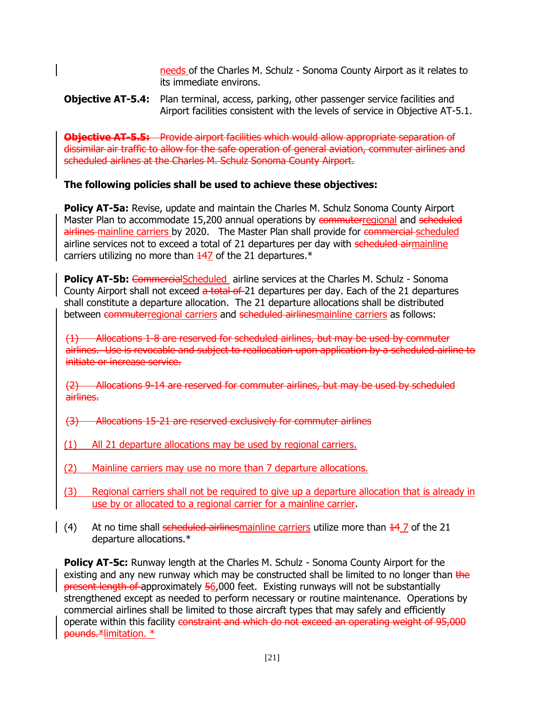needs of the Charles M. Schulz - Sonoma County Airport as it relates to its immediate environs.

#### **Objective AT-5.4:** Plan terminal, access, parking, other passenger service facilities and Airport facilities consistent with the levels of service in Objective AT-5.1.

**Objective AT-5.5:** Provide airport facilities which would allow appropriate separation of dissimilar air traffic to allow for the safe operation of general aviation, commuter airlines and scheduled airlines at the Charles M. Schulz Sonoma County Airport.

#### **The following policies shall be used to achieve these objectives:**

**Policy AT-5a:** Revise, update and maintain the Charles M. Schulz Sonoma County Airport Master Plan to accommodate 15,200 annual operations by commuterregional and scheduled airlines-mainline carriers by 2020. The Master Plan shall provide for commercial scheduled airline services not to exceed a total of 21 departures per day with scheduled airmainline carriers utilizing no more than  $\frac{147}{10}$  of the 21 departures.\*

**Policy AT-5b:** CommercialScheduled airline services at the Charles M. Schulz - Sonoma County Airport shall not exceed a total of 21 departures per day. Each of the 21 departures shall constitute a departure allocation. The 21 departure allocations shall be distributed between commuterregional carriers and scheduled airlinesmainline carriers as follows:

(1) Allocations 1-8 are reserved for scheduled airlines, but may be used by commuter airlines. Use is revocable and subject to reallocation upon application by a scheduled airline to initiate or increase service.

(2) Allocations 9-14 are reserved for commuter airlines, but may be used by scheduled airlines.

- (3) Allocations 15-21 are reserved exclusively for commuter airlines
- (1) All 21 departure allocations may be used by regional carriers.
- (2) Mainline carriers may use no more than 7 departure allocations.
- (3) Regional carriers shall not be required to give up a departure allocation that is already in use by or allocated to a regional carrier for a mainline carrier.
- (4) At no time shall scheduled airlinesmainline carriers utilize more than  $\frac{14}{7}$  of the 21 departure allocations.\*

**Policy AT-5c:** Runway length at the Charles M. Schulz - Sonoma County Airport for the existing and any new runway which may be constructed shall be limited to no longer than the present length of approximately 56,000 feet. Existing runways will not be substantially strengthened except as needed to perform necessary or routine maintenance. Operations by commercial airlines shall be limited to those aircraft types that may safely and efficiently operate within this facility constraint and which do not exceed an operating weight of 95,000 pounds.\*limitation. \*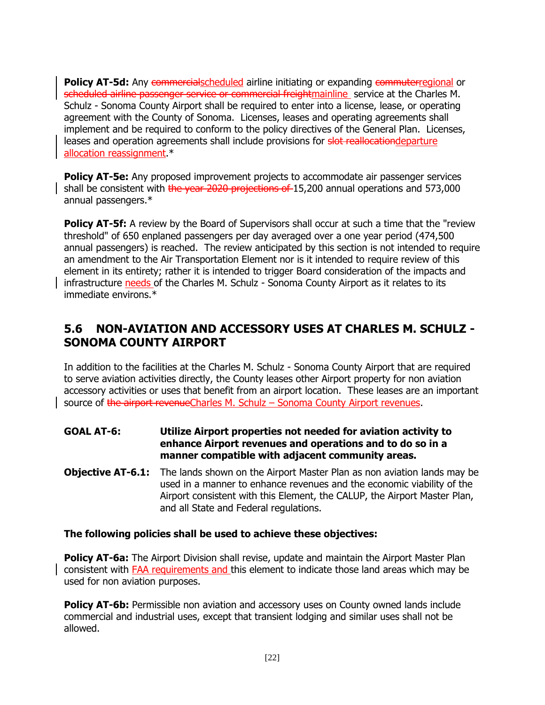**Policy AT-5d:** Any commercialscheduled airline initiating or expanding commuterregional or scheduled airline passenger service or commercial freightmainline service at the Charles M. Schulz - Sonoma County Airport shall be required to enter into a license, lease, or operating agreement with the County of Sonoma. Licenses, leases and operating agreements shall implement and be required to conform to the policy directives of the General Plan. Licenses, leases and operation agreements shall include provisions for slot reallocationdeparture allocation reassignment.\*

**Policy AT-5e:** Any proposed improvement projects to accommodate air passenger services shall be consistent with the year 2020 projections of 15,200 annual operations and 573,000 annual passengers.\*

**Policy AT-5f:** A review by the Board of Supervisors shall occur at such a time that the "review" threshold" of 650 enplaned passengers per day averaged over a one year period (474,500 annual passengers) is reached. The review anticipated by this section is not intended to require an amendment to the Air Transportation Element nor is it intended to require review of this element in its entirety; rather it is intended to trigger Board consideration of the impacts and infrastructure needs of the Charles M. Schulz - Sonoma County Airport as it relates to its immediate environs.\*

### <span id="page-25-0"></span>**5.6 NON-AVIATION AND ACCESSORY USES AT CHARLES M. SCHULZ - SONOMA COUNTY AIRPORT**

In addition to the facilities at the Charles M. Schulz - Sonoma County Airport that are required to serve aviation activities directly, the County leases other Airport property for non aviation accessory activities or uses that benefit from an airport location. These leases are an important source of the airport revenueCharles M. Schulz – Sonoma County Airport revenues.

- **GOAL AT-6: Utilize Airport properties not needed for aviation activity to enhance Airport revenues and operations and to do so in a manner compatible with adjacent community areas.**
- **Objective AT-6.1:** The lands shown on the Airport Master Plan as non aviation lands may be used in a manner to enhance revenues and the economic viability of the Airport consistent with this Element, the CALUP, the Airport Master Plan, and all State and Federal regulations.

#### **The following policies shall be used to achieve these objectives:**

Policy AT-6a: The Airport Division shall revise, update and maintain the Airport Master Plan consistent with FAA requirements and this element to indicate those land areas which may be used for non aviation purposes.

**Policy AT-6b:** Permissible non aviation and accessory uses on County owned lands include commercial and industrial uses, except that transient lodging and similar uses shall not be allowed.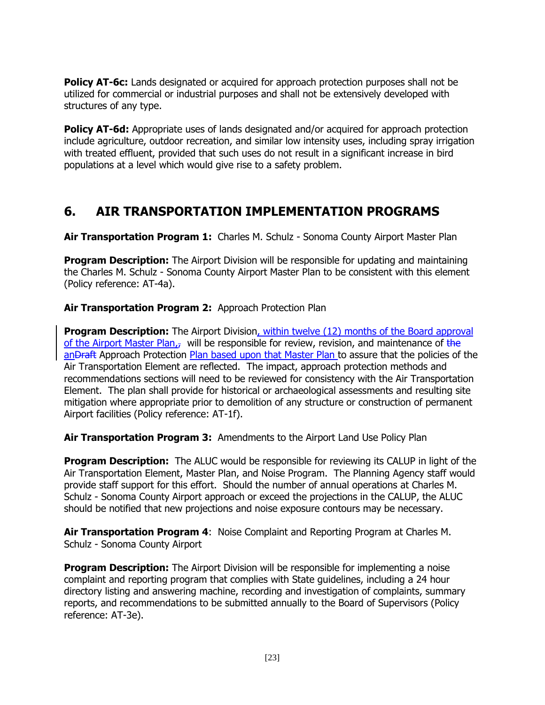**Policy AT-6c:** Lands designated or acquired for approach protection purposes shall not be utilized for commercial or industrial purposes and shall not be extensively developed with structures of any type.

**Policy AT-6d:** Appropriate uses of lands designated and/or acquired for approach protection include agriculture, outdoor recreation, and similar low intensity uses, including spray irrigation with treated effluent, provided that such uses do not result in a significant increase in bird populations at a level which would give rise to a safety problem.

## <span id="page-26-0"></span>**6. AIR TRANSPORTATION IMPLEMENTATION PROGRAMS**

**Air Transportation Program 1:** Charles M. Schulz - Sonoma County Airport Master Plan

**Program Description:** The Airport Division will be responsible for updating and maintaining the Charles M. Schulz - Sonoma County Airport Master Plan to be consistent with this element (Policy reference: AT-4a).

#### **Air Transportation Program 2:** Approach Protection Plan

**Program Description:** The Airport Division, within twelve (12) months of the Board approval of the Airport Master Plan, will be responsible for review, revision, and maintenance of the anDraft Approach Protection Plan based upon that Master Plan to assure that the policies of the Air Transportation Element are reflected. The impact, approach protection methods and recommendations sections will need to be reviewed for consistency with the Air Transportation Element. The plan shall provide for historical or archaeological assessments and resulting site mitigation where appropriate prior to demolition of any structure or construction of permanent Airport facilities (Policy reference: AT-1f).

**Air Transportation Program 3:** Amendments to the Airport Land Use Policy Plan

**Program Description:** The ALUC would be responsible for reviewing its CALUP in light of the Air Transportation Element, Master Plan, and Noise Program. The Planning Agency staff would provide staff support for this effort. Should the number of annual operations at Charles M. Schulz - Sonoma County Airport approach or exceed the projections in the CALUP, the ALUC should be notified that new projections and noise exposure contours may be necessary.

**Air Transportation Program 4**: Noise Complaint and Reporting Program at Charles M. Schulz - Sonoma County Airport

**Program Description:** The Airport Division will be responsible for implementing a noise complaint and reporting program that complies with State guidelines, including a 24 hour directory listing and answering machine, recording and investigation of complaints, summary reports, and recommendations to be submitted annually to the Board of Supervisors (Policy reference: AT-3e).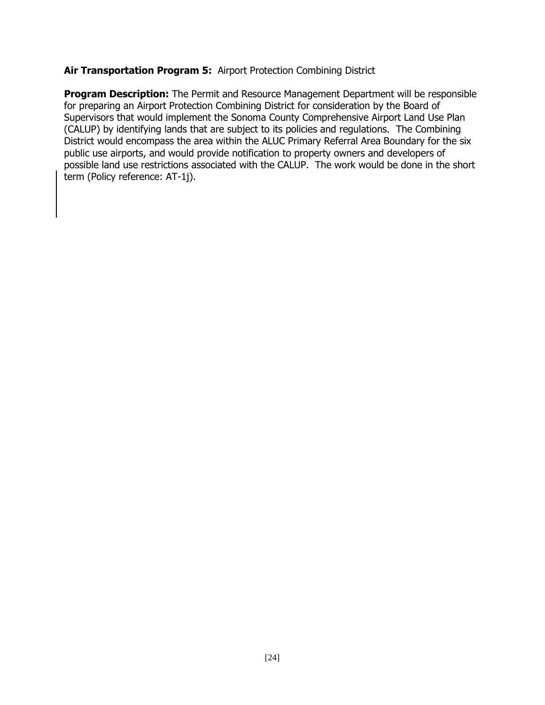#### **Air Transportation Program 5:** Airport Protection Combining District

**Program Description:** The Permit and Resource Management Department will be responsible for preparing an Airport Protection Combining District for consideration by the Board of Supervisors that would implement the Sonoma County Comprehensive Airport Land Use Plan (CALUP) by identifying lands that are subject to its policies and regulations. The Combining District would encompass the area within the ALUC Primary Referral Area Boundary for the six public use airports, and would provide notification to property owners and developers of possible land use restrictions associated with the CALUP. The work would be done in the short term (Policy reference: AT-1j).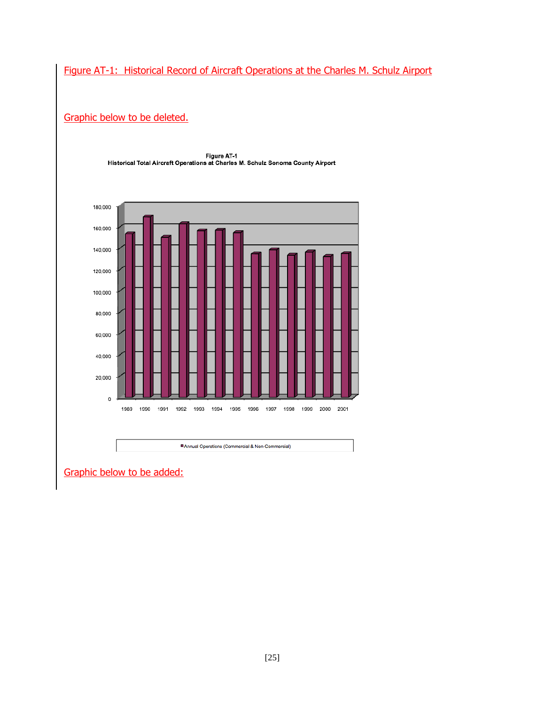#### Figure AT-1: Historical Record of Aircraft Operations at the Charles M. Schulz Airport

#### Graphic below to be deleted.



Figure AT-1 Historical Total Aircraft Operations at Charles M. Schulz Sonoma County Airport

Graphic below to be added: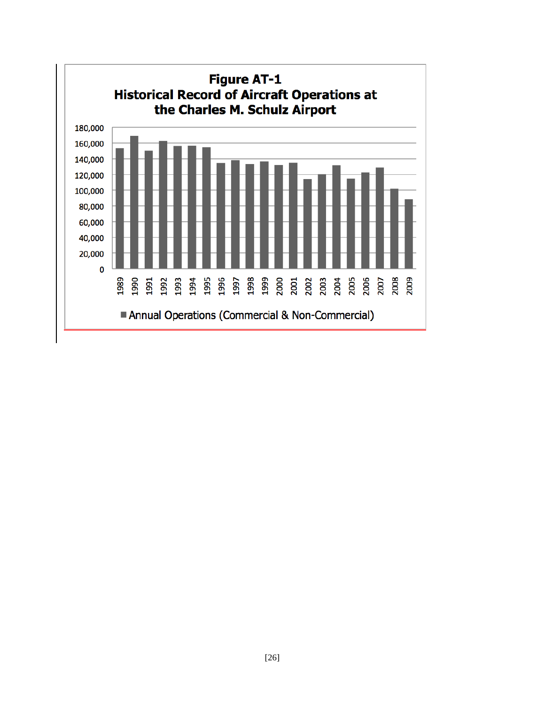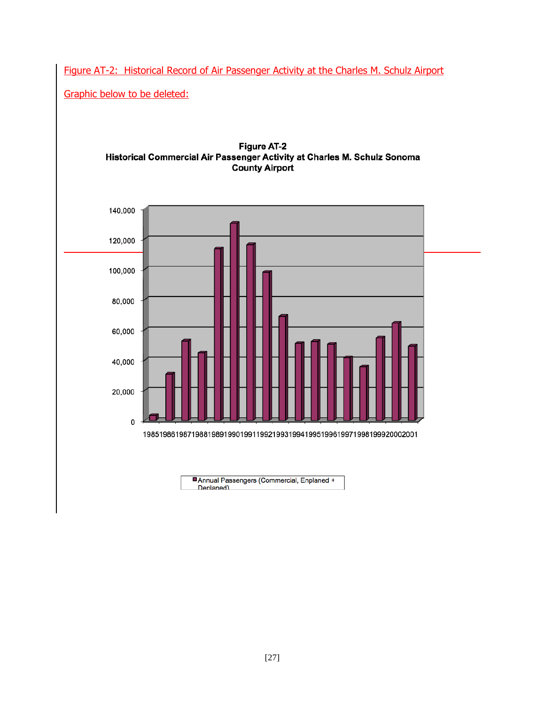Figure AT-2: Historical Record of Air Passenger Activity at the Charles M. Schulz Airport

Graphic below to be deleted:



**Figure AT-2** Historical Commercial Air Passenger Activity at Charles M. Schulz Sonoma

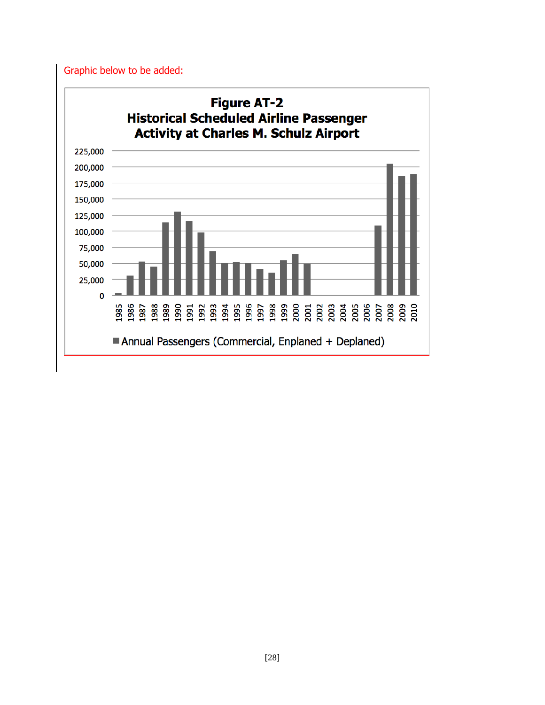Graphic below to be added: